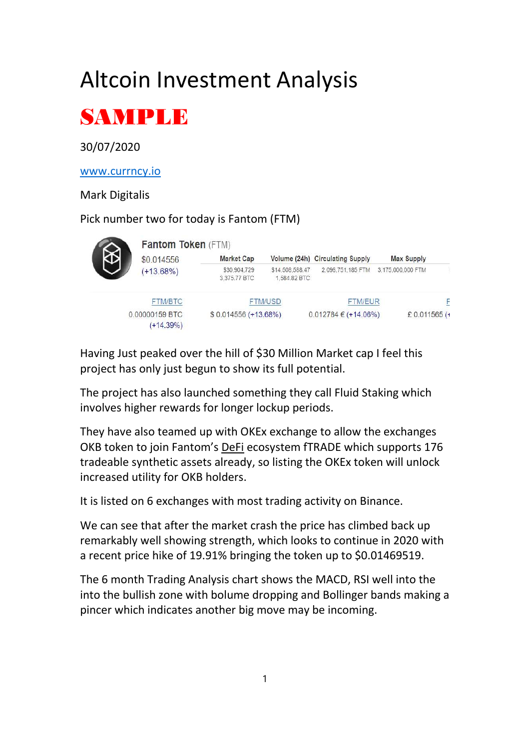# Altcoin Investment Analysis



## 30/07/2020

www.currncy.io

#### Mark Digitalis

### Pick number two for today is Fantom (FTM)

|                | <b>Fantom Token (FTM)</b>     |                              |                                 |                                 |                   |
|----------------|-------------------------------|------------------------------|---------------------------------|---------------------------------|-------------------|
|                | \$0,014556                    | <b>Market Cap</b>            |                                 | Volume (24h) Circulating Supply | <b>Max Supply</b> |
|                | $(+13.68%)$                   | \$30,904.729<br>3,375.77 BTC | \$14,508,588.47<br>1,584.82 BTC | 2,096,751,185 FTM               | 3,175,000,000 FTM |
| <b>FTM/BTC</b> |                               | <b>FTM/USD</b>               |                                 | <b>FTM/EUR</b>                  | F                 |
|                | 0.00000159 BTC<br>$(+14.39%)$ | \$0.014556 (+13.68%)         |                                 | $0.012784 \in (+14.06\%)$       | £ 0.011565 (+     |

Having Just peaked over the hill of \$30 Million Market cap I feel this project has only just begun to show its full potential.

The project has also launched something they call Fluid Staking which involves higher rewards for longer lockup periods.

They have also teamed up with OKEx exchange to allow the exchanges OKB token to join Fantom's DeFi ecosystem fTRADE which supports 176 tradeable synthetic assets already, so listing the OKEx token will unlock increased utility for OKB holders.

It is listed on 6 exchanges with most trading activity on Binance.

We can see that after the market crash the price has climbed back up remarkably well showing strength, which looks to continue in 2020 with a recent price hike of 19.91% bringing the token up to \$0.01469519.

The 6 month Trading Analysis chart shows the MACD, RSI well into the into the bullish zone with bolume dropping and Bollinger bands making a pincer which indicates another big move may be incoming.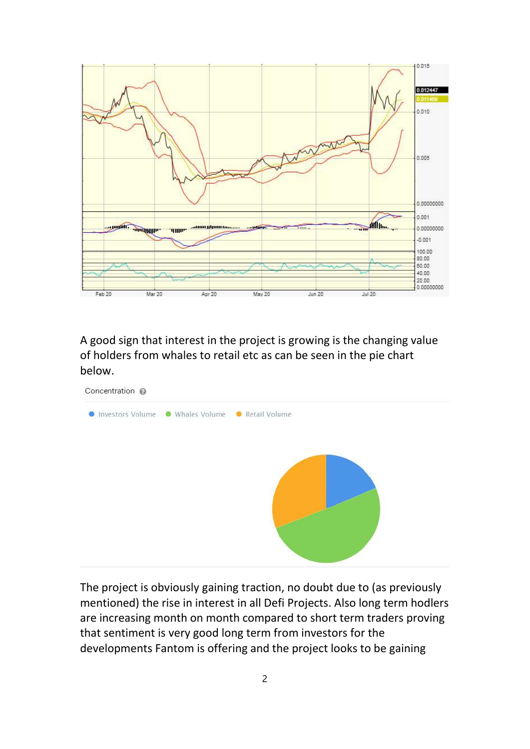

A good sign that interest in the project is growing is the changing value of holders from whales to retail etc as can be seen in the pie chart below.



The project is obviously gaining traction, no doubt due to (as previously mentioned) the rise in interest in all Defi Projects. Also long term hodlers are increasing month on month compared to short term traders proving that sentiment is very good long term from investors for the developments Fantom is offering and the project looks to be gaining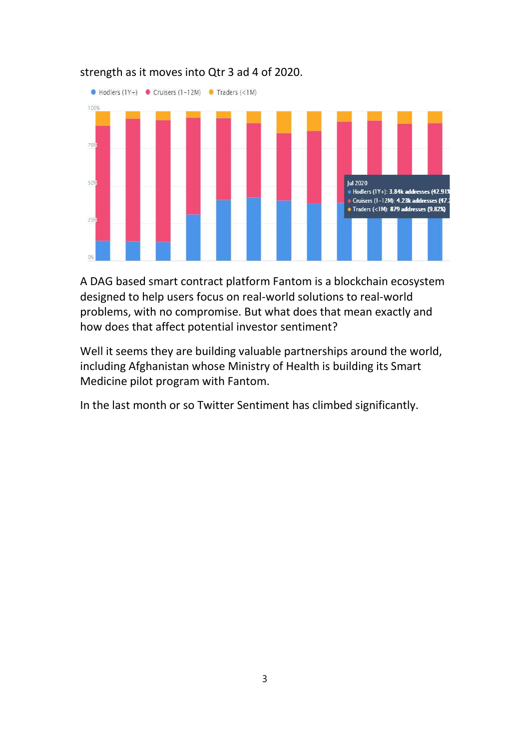

#### strength as it moves into Qtr 3 ad 4 of 2020.

A DAG based smart contract platform Fantom is a blockchain ecosystem designed to help users focus on real-world solutions to real-world problems, with no compromise. But what does that mean exactly and how does that affect potential investor sentiment?

Well it seems they are building valuable partnerships around the world, including Afghanistan whose Ministry of Health is building its Smart Medicine pilot program with Fantom.

In the last month or so Twitter Sentiment has climbed significantly.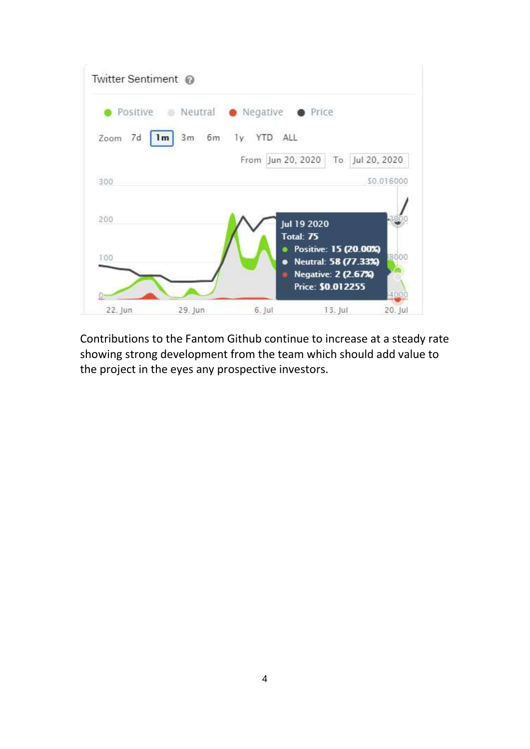

Contributions to the Fantom Github continue to increase at a steady rate showing strong development from the team which should add value to the project in the eyes any prospective investors.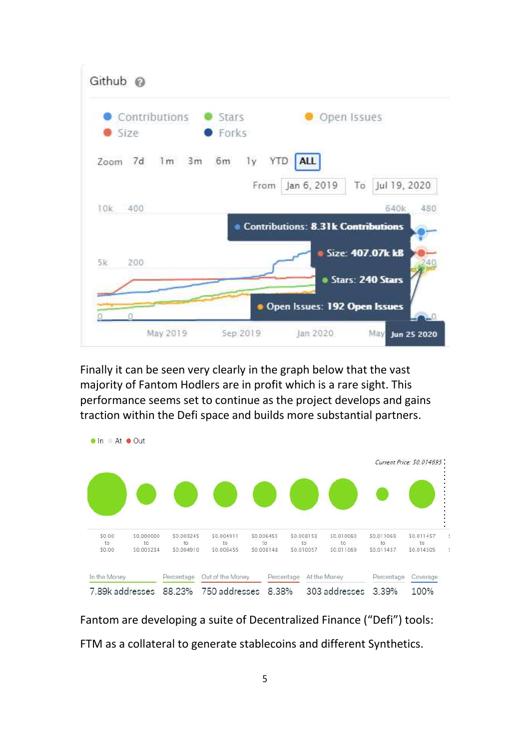

Finally it can be seen very clearly in the graph below that the vast majority of Fantom Hodlers are in profit which is a rare sight. This performance seems set to continue as the project develops and gains traction within the Defi space and builds more substantial partners.



Fantom are developing a suite of Decentralized Finance ("Defi") tools: FTM as a collateral to generate stablecoins and different Synthetics.